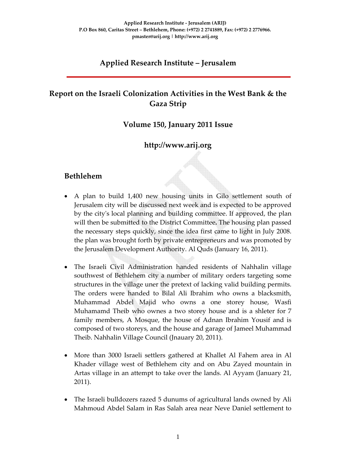## **Applied Research Institute – Jerusalem**

# **Report on the Israeli Colonization Activities in the West Bank & the Gaza Strip**

#### **Volume 150, January 2011 Issue**

## **http://www.arij.org**

#### **Bethlehem**

- A plan to build 1,400 new housing units in Gilo settlement south of Jerusalem city will be discussed next week and is expected to be approved by the cityʹs local planning and building committee. If approved, the plan will then be submitted to the District Committee**.** The housing plan passed the necessary steps quickly, since the idea first came to light in July 2008. the plan was brought forth by private entrepreneurs and was promoted by the Jerusalem Development Authority. Al Quds (January 16, 2011).
- The Israeli Civil Administration handed residents of Nahhalin village southwest of Bethlehem city a number of military orders targeting some structures in the village uner the pretext of lacking valid building permits. The orders were handed to Bilal Ali Ibrahim who owns a blacksmith, Muhammad Abdel Majid who owns a one storey house, Wasfi Muhamamd Theib who ownes a two storey house and is a shleter for 7 family members, A Mosque, the house of Adnan Ibrahim Yousif and is composed of two storeys, and the house and garage of Jameel Muhammad Theib. Nahhalin Village Council (Jnauary 20, 2011).
- More than 3000 Israeli settlers gathered at Khallet Al Fahem area in Al Khader village west of Bethlehem city and on Abu Zayed mountain in Artas village in an attempt to take over the lands. Al Ayyam (January 21, 2011).
- The Israeli bulldozers razed 5 dunums of agricultural lands owned by Ali Mahmoud Abdel Salam in Ras Salah area near Neve Daniel settlement to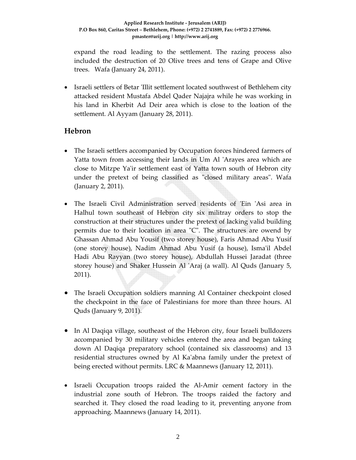expand the road leading to the settlement. The razing process also included the destruction of 20 Olive trees and tens of Grape and Olive trees. Wafa (January 24, 2011).

• Israeli settlers of Betar 'Illit settlement located southwest of Bethlehem city attacked resident Mustafa Abdel Qader Najajra while he was working in his land in Kherbit Ad Deir area which is close to the loation of the settlement. Al Ayyam (January 28, 2011).

## **Hebron**

- The Israeli settlers accompanied by Occupation forces hindered farmers of Yatta town from accessing their lands in Um Al 'Arayes area which are close to Mitzpe Ya'ir settlement east of Yatta town south of Hebron city under the pretext of being classified as "closed military areas". Wafa (January 2, 2011).
- The Israeli Civil Administration served residents of 'Ein 'Asi area in Halhul town southeast of Hebron city six militray orders to stop the construction at their structures under the pretext of lacking valid building permits due to their location in area "C". The structures are owend by Ghassan Ahmad Abu Yousif (two storey house), Faris Ahmad Abu Yusif (one storey house), Nadim Ahmad Abu Yusif (a house), Ismaʹil Abdel Hadi Abu Rayyan (two storey house), Abdullah Hussei Jaradat (three storey house) and Shaker Hussein Al ʹAraj (a wall). Al Quds (January 5, 2011).
- The Israeli Occupation soldiers manning Al Container checkpoint closed the checkpoint in the face of Palestinians for more than three hours. Al Quds (January 9, 2011).
- In Al Daqiqa village, southeast of the Hebron city, four Israeli bulldozers accompanied by 30 military vehicles entered the area and began taking down Al Daqiqa preparatory school (contained six classrooms) and 13 residential structures owned by Al Kaʹabna family under the pretext of being erected without permits. LRC & Maannews (January 12, 2011).
- Israeli Occupation troops raided the Al-Amir cement factory in the industrial zone south of Hebron. The troops raided the factory and searched it. They closed the road leading to it, preventing anyone from approaching. Maannews (January 14, 2011).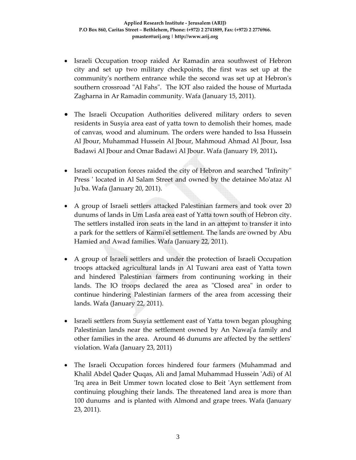- Israeli Occupation troop raided Ar Ramadin area southwest of Hebron city and set up two military checkpoints, the first was set up at the community's northern entrance while the second was set up at Hebron's southern crossroad "Al Fahs". The IOT also raided the house of Murtada Zagharna in Ar Ramadin community. Wafa (January 15, 2011).
- The Israeli Occupation Authorities delivered military orders to seven residents in Susyia area east of yatta town to demolish their homes, made of canvas, wood and aluminum. The orders were handed to Issa Hussein Al Jbour, Muhammad Hussein Al Jbour, Mahmoud Ahmad Al Jbour, Issa Badawi Al Jbour and Omar Badawi Al Jbour. Wafa (January 19, 2011)**.**
- Israeli occupation forces raided the city of Hebron and searched "Infinity" Press ' located in Al Salam Street and owned by the detainee Mo'ataz Al Juʹba. Wafa (January 20, 2011).
- A group of Israeli settlers attacked Palestinian farmers and took over 20 dunums of lands in Um Lasfa area east of Yatta town south of Hebron city. The settlers installed iron seats in the land in an attepmt to transfer it into a park for the settlers of Karmiʹel settlement. The lands are owned by Abu Hamied and Awad families. Wafa (January 22, 2011).
- A group of Israeli settlers and under the protection of Israeli Occupation troops attacked agricultural lands in Al Tuwani area east of Yatta town and hindered Palestinian farmers from continuning working in their lands. The IO troops declared the area as "Closed area" in order to continue hindering Palestinian farmers of the area from accessing their lands. Wafa (January 22, 2011).
- Israeli settlers from Susyia settlement east of Yatta town began ploughing Palestinian lands near the settlement owned by An Nawaj'a family and other families in the area. Around 46 dunums are affected by the settlersʹ violation. Wafa (January 23, 2011)
- The Israeli Occupation forces hindered four farmers (Muhammad and Khalil Abdel Qader Quqas, Ali and Jamal Muhammad Hussein ʹAdi) of Al ʹIrq area in Beit Ummer town located close to Beit ʹAyn settlement from continuing ploughing their lands. The threatened land area is more than 100 dunums and is planted with Almond and grape trees. Wafa (January 23, 2011).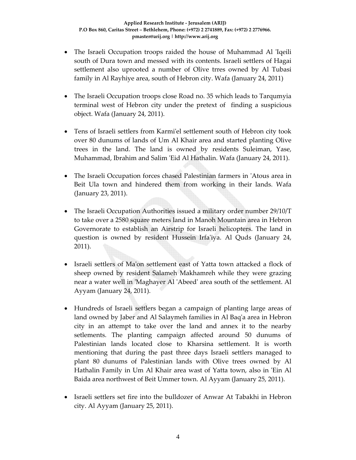- The Israeli Occupation troops raided the house of Muhammad Al 'Iqeili south of Dura town and messed with its contents. Israeli settlers of Hagai settlement also uprooted a number of Olive trres owned by Al Tubasi family in Al Rayhiye area, south of Hebron city. Wafa (January 24, 2011)
- The Israeli Occupation troops close Road no. 35 which leads to Tarqumyia terminal west of Hebron city under the pretext of finding a suspicious object. Wafa (January 24, 2011).
- Tens of Israeli settlers from Karmi'el settlement south of Hebron city took over 80 dunums of lands of Um Al Khair area and started planting Olive trees in the land. The land is owned by residents Suleiman, Yase, Muhammad, Ibrahim and Salim ʹEid Al Hathalin. Wafa (January 24, 2011).
- The Israeli Occupation forces chased Palestinian farmers in 'Atous area in Beit Ula town and hindered them from working in their lands. Wafa (January 23, 2011).
- The Israeli Occupation Authorities issued a military order number 29/10/T to take over a 2580 square meters land in Manoh Mountain area in Hebron Governorate to establish an Airstrip for Israeli helicopters. The land in question is owned by resident Hussein Irfa'iya. Al Quds (January 24, 2011).
- Israeli settlers of Maʹon settlement east of Yatta town attacked a flock of sheep owned by resident Salameh Makhamreh while they were grazing near a water well in ʹMaghayer Al ʹAbeedʹ area south of the settlement. Al Ayyam (January 24, 2011).
- Hundreds of Israeli settlers began a campaign of planting large areas of land owned by Jaber and Al Salaymeh families in Al Baq'a area in Hebron city in an attempt to take over the land and annex it to the nearby setlements. The planting campaign affected around 50 dunums of Palestinian lands located close to Kharsina settlement. It is worth mentioning that during the past three days Israeli settlers managed to plant 80 dunums of Palestinian lands with Olive trees owned by Al Hathalin Family in Um Al Khair area wast of Yatta town, also in 'Ein Al Baida area northwest of Beit Ummer town. Al Ayyam (January 25, 2011).
- Israeli settlers set fire into the bulldozer of Anwar At Tabakhi in Hebron city. Al Ayyam (January 25, 2011).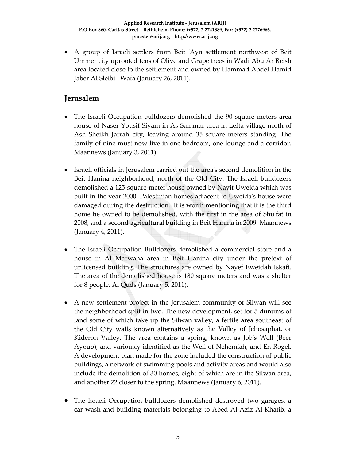• A group of Israeli settlers from Beit 'Ayn settlement northwest of Beit Ummer city uprooted tens of Olive and Grape trees in Wadi Abu Ar Reish area located close to the settlement and owned by Hammad Abdel Hamid Jaber Al Sleibi. Wafa (January 26, 2011).

## **Jerusalem**

- The Israeli Occupation bulldozers demolished the 90 square meters area house of Naser Yousif Siyam in As Sammar area in Lefta village north of Ash Sheikh Jarrah city, leaving around 35 square meters standing. The family of nine must now live in one bedroom, one lounge and a corridor. Maannews (January 3, 2011).
- Israeli officials in Jerusalem carried out the areaʹs second demolition in the Beit Hanina neighborhood, north of the Old City. The Israeli bulldozers demolished a 125‐square‐meter house owned by Nayif Uweida which was built in the year 2000. Palestinian homes adjacent to Uweidaʹs house were damaged during the destruction. It is worth mentioning that it is the third home he owned to be demolished, with the first in the area of Shuʹfat in 2008, and a second agricultural building in Beit Hanina in 2009. Maannews (January 4, 2011).
- The Israeli Occupation Bulldozers demolished a commercial store and a house in Al Marwaha area in Beit Hanina city under the pretext of unlicensed building. The structures are owned by Nayef Eweidah Iskafi. The area of the demolished house is 180 square meters and was a shelter for 8 people. Al Quds (January 5, 2011).
- A new settlement project in the Jerusalem community of Silwan will see the neighborhood split in two. The new development, set for 5 dunums of land some of which take up the Silwan valley, a fertile area southeast of the Old City walls known alternatively as the Valley of Jehosaphat, or Kideron Valley. The area contains a spring, known as Job's Well (Beer Ayoub), and variously identified as the Well of Nehemiah, and En Rogel. A development plan made for the zone included the construction of public buildings, a network of swimming pools and activity areas and would also include the demolition of 30 homes, eight of which are in the Silwan area, and another 22 closer to the spring. Maannews (January 6, 2011).
- The Israeli Occupation bulldozers demolished destroyed two garages, a car wash and building materials belonging to Abed Al‐Aziz Al‐Khatib, a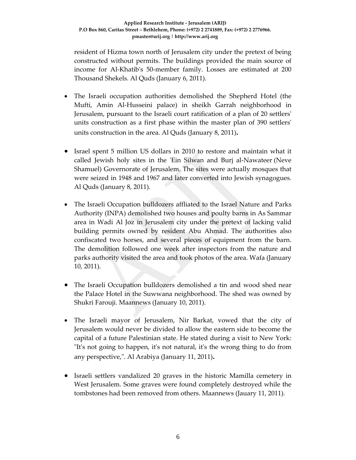resident of Hizma town north of Jerusalem city under the pretext of being constructed without permits. The buildings provided the main source of income for Al‐Khatibʹs 50‐member family. Losses are estimated at 200 Thousand Shekels. Al Quds (January 6, 2011).

- The Israeli occupation authorities demolished the Shepherd Hotel (the Mufti, Amin Al‐Husseini palace) in sheikh Garrah neighborhood in Jerusalem, pursuant to the Israeli court ratification of a plan of 20 settlersʹ units construction as a first phase within the master plan of 390 settlersʹ units construction in the area. Al Quds (January 8, 2011)**.**
- Israel spent 5 million US dollars in 2010 to restore and maintain what it called Jewish holy sites in the 'Ein Silwan and Burj al-Nawateer (Neve Shamuel) Governorate of Jerusalem. The sites were actually mosques that were seized in 1948 and 1967 and later converted into Jewish synagogues. Al Quds (January 8, 2011).
- The Israeli Occupation bulldozers affliated to the Israel Nature and Parks Authority (INPA) demolished two houses and poulty barns in As Sammar area in Wadi Al Joz in Jerusalem city under the pretext of lacking valid building permits owned by resident Abu Ahmad. The authorities also confiscated two horses, and several pieces of equipment from the barn. The demolition followed one week after inspectors from the nature and parks authority visited the area and took photos of the area. Wafa (January 10, 2011).
- The Israeli Occupation bulldozers demolished a tin and wood shed near the Palace Hotel in the Suwwana neighborhood. The shed was owned by Shukri Farouji. Maannews (January 10, 2011).
- The Israeli mayor of Jerusalem, Nir Barkat, vowed that the city of Jerusalem would never be divided to allow the eastern side to become the capital of a future Palestinian state. He stated during a visit to New York: "It's not going to happen, it's not natural, it's the wrong thing to do from any perspective,". Al Arabiya (January 11, 2011).
- Israeli settlers vandalized 20 graves in the historic Mamilla cemetery in West Jerusalem. Some graves were found completely destroyed while the tombstones had been removed from others. Maannews (Jauary 11, 2011).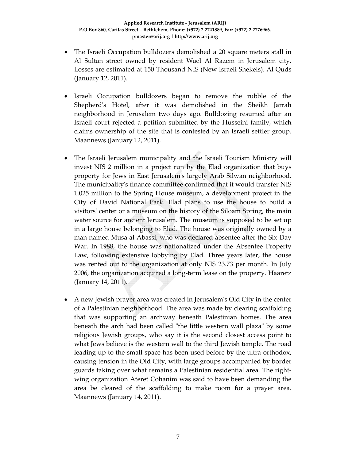- The Israeli Occupation bulldozers demolished a 20 square meters stall in Al Sultan street owned by resident Wael Al Razem in Jerusalem city. Losses are estimated at 150 Thousand NIS (New Israeli Shekels). Al Quds (January 12, 2011).
- Israeli Occupation bulldozers began to remove the rubble of the Shepherd's Hotel, after it was demolished in the Sheikh Jarrah neighborhood in Jerusalem two days ago. Bulldozing resumed after an Israeli court rejected a petition submitted by the Husseini family, which claims ownership of the site that is contested by an Israeli settler group. Maannews (January 12, 2011).
- The Israeli Jerusalem municipality and the Israeli Tourism Ministry will invest NIS 2 million in a project run by the Elad organization that buys property for Jews in East Jerusalemʹs largely Arab Silwan neighborhood. The municipalityʹs finance committee confirmed that it would transfer NIS 1.025 million to the Spring House museum, a development project in the City of David National Park. Elad plans to use the house to build a visitorsʹ center or a museum on the history of the Siloam Spring, the main water source for ancient Jerusalem. The museum is supposed to be set up in a large house belonging to Elad. The house was originally owned by a man named Musa al‐Abassi, who was declared absentee after the Six‐Day War. In 1988, the house was nationalized under the Absentee Property Law, following extensive lobbying by Elad. Three years later, the house was rented out to the organization at only NIS 23.73 per month. In July 2006, the organization acquired a long‐term lease on the property. Haaretz (January 14, 2011).
- A new Jewish prayer area was created in Jerusalemʹs Old City in the center of a Palestinian neighborhood. The area was made by clearing scaffolding that was supporting an archway beneath Palestinian homes. The area beneath the arch had been called "the little western wall plaza" by some religious Jewish groups, who say it is the second closest access point to what Jews believe is the western wall to the third Jewish temple. The road leading up to the small space has been used before by the ultra‐orthodox, causing tension in the Old City, with large groups accompanied by border guards taking over what remains a Palestinian residential area. The right‐ wing organization Ateret Cohanim was said to have been demanding the area be cleared of the scaffolding to make room for a prayer area. Maannews (January 14, 2011).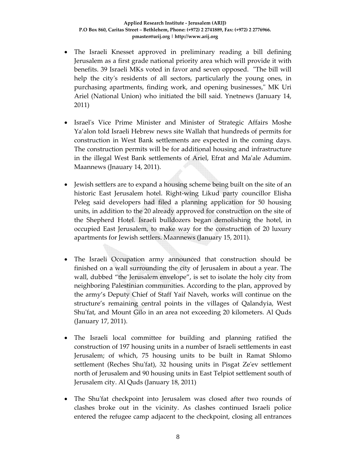- The Israeli Knesset approved in preliminary reading a bill defining Jerusalem as a first grade national priority area which will provide it with benefits. 39 Israeli MKs voted in favor and seven opposed. "The bill will help the city's residents of all sectors, particularly the young ones, in purchasing apartments, finding work, and opening businesses," MK Uri Ariel (National Union) who initiated the bill said. Ynetnews (January 14, 2011)
- Israel's Vice Prime Minister and Minister of Strategic Affairs Moshe Ya'alon told Israeli Hebrew news site Wallah that hundreds of permits for construction in West Bank settlements are expected in the coming days. The construction permits will be for additional housing and infrastructure in the illegal West Bank settlements of Ariel, Efrat and Maʹale Adumim. Maannews (Jnauary 14, 2011).
- Jewish settlers are to expand a housing scheme being built on the site of an historic East Jerusalem hotel. Right‐wing Likud party councillor Elisha Peleg said developers had filed a planning application for 50 housing units, in addition to the 20 already approved for construction on the site of the Shepherd Hotel. Israeli bulldozers began demolishing the hotel, in occupied East Jerusalem, to make way for the construction of 20 luxury apartments for Jewish settlers. Maannews (January 15, 2011).
- The Israeli Occupation army announced that construction should be finished on a wall surrounding the city of Jerusalem in about a year. The wall, dubbed "the Jerusalem envelope", is set to isolate the holy city from neighboring Palestinian communities. According to the plan, approved by the army's Deputy Chief of Staff Yaif Naveh, works will continue on the structure's remaining central points in the villages of Qalandyia, West Shu'fat, and Mount Gilo in an area not exceeding 20 kilometers. Al Quds (January 17, 2011).
- The Israeli local committee for building and planning ratified the construction of 197 housing units in a number of Israeli settlements in east Jerusalem; of which, 75 housing units to be built in Ramat Shlomo settlement (Reches Shuʹfat), 32 housing units in Pisgat Zeʹev settlement north of Jerusalem and 90 housing units in East Telpiot settlement south of Jerusalem city. Al Quds (January 18, 2011)
- The Shu'fat checkpoint into Jerusalem was closed after two rounds of clashes broke out in the vicinity. As clashes continued Israeli police entered the refugee camp adjacent to the checkpoint, closing all entrances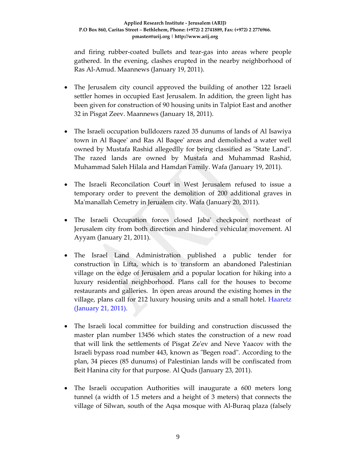and firing rubber‐coated bullets and tear‐gas into areas where people gathered. In the evening, clashes erupted in the nearby neighborhood of Ras Al‐Amud. Maannews (January 19, 2011).

- The Jerusalem city council approved the building of another 122 Israeli settler homes in occupied East Jerusalem. In addition, the green light has been given for construction of 90 housing units in Talpiot East and another 32 in Pisgat Zeev. Maannews (January 18, 2011).
- The Israeli occupation bulldozers razed 35 dunums of lands of Al Isawiya town in Al Baqeeʹ and Ras Al Baqeeʹ areas and demolished a water well owned by Mustafa Rashid allegedlly for being classified as "State Land". The razed lands are owned by Mustafa and Muhammad Rashid, Muhammad Saleh Hilala and Hamdan Family. Wafa (January 19, 2011).
- The Israeli Reconcilation Court in West Jerusalem refused to issue a temporary order to prevent the demolition of 200 additional graves in Maʹmanallah Cemetry in Jerualem city. Wafa (January 20, 2011).
- The Israeli Occupation forces closed Jabaʹ checkpoint northeast of Jerusalem city from both direction and hindered vehicular movement. Al Ayyam (January 21, 2011).
- The Israel Land Administration published a public tender for construction in Lifta, which is to transform an abandoned Palestinian village on the edge of Jerusalem and a popular location for hiking into a luxury residential neighborhood. Plans call for the houses to become restaurants and galleries. In open areas around the existing homes in the village, plans call for 212 luxury housing units and a small hotel. Haaretz (January 21, 2011).
- The Israeli local committee for building and construction discussed the master plan number 13456 which states the construction of a new road that will link the settlements of Pisgat Zeʹev and Neve Yaacov with the Israeli bypass road number 443, known as "Begen road". According to the plan, 34 pieces (85 dunums) of Palestinian lands will be confiscated from Beit Hanina city for that purpose. Al Quds (January 23, 2011).
- The Israeli occupation Authorities will inaugurate a 600 meters long tunnel (a width of 1.5 meters and a height of 3 meters) that connects the village of Silwan, south of the Aqsa mosque with Al‐Buraq plaza (falsely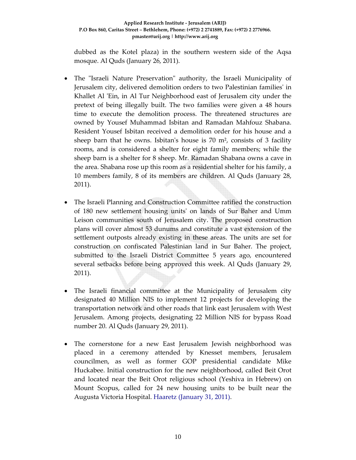dubbed as the Kotel plaza) in the southern western side of the Aqsa mosque. Al Quds (January 26, 2011).

- The "Israeli Nature Preservation" authority, the Israeli Municipality of Jerusalem city, delivered demolition orders to two Palestinian familiesʹ in Khallet Al 'Ein, in Al Tur Neighborhood east of Jerusalem city under the pretext of being illegally built. The two families were given a 48 hours time to execute the demolition process. The threatened structures are owned by Yousef Muhammad Isbitan and Ramadan Mahfouz Shabana. Resident Yousef Isbitan received a demolition order for his house and a sheep barn that he owns. Isbitan's house is 70  $m<sup>2</sup>$ , consists of 3 facility rooms, and is considered a shelter for eight family members; while the sheep barn is a shelter for 8 sheep. Mr. Ramadan Shabana owns a cave in the area. Shabana rose up this room as a residential shelter for his family, a 10 members family, 8 of its members are children. Al Quds (January 28, 2011).
- The Israeli Planning and Construction Committee ratified the construction of 180 new settlement housing unitsʹ on lands of Sur Baher and Umm Leison communities south of Jerusalem city. The proposed construction plans will cover almost 53 dunums and constitute a vast extension of the settlement outposts already existing in these areas. The units are set for construction on confiscated Palestinian land in Sur Baher. The project, submitted to the Israeli District Committee 5 years ago, encountered several setbacks before being approved this week. Al Quds (January 29, 2011).
- The Israeli financial committee at the Municipality of Jerusalem city designated 40 Million NIS to implement 12 projects for developing the transportation network and other roads that link east Jerusalem with West Jerusalem. Among projects, designating 22 Million NIS for bypass Road number 20. Al Quds (January 29, 2011).
- The cornerstone for a new East Jerusalem Jewish neighborhood was placed in a ceremony attended by Knesset members, Jerusalem councilmen, as well as former GOP presidential candidate Mike Huckabee. Initial construction for the new neighborhood, called Beit Orot and located near the Beit Orot religious school (Yeshiva in Hebrew) on Mount Scopus, called for 24 new housing units to be built near the Augusta Victoria Hospital. Haaretz (January 31, 2011).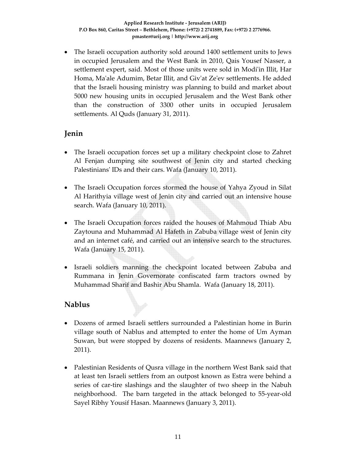• The Israeli occupation authority sold around 1400 settlement units to Jews in occupied Jerusalem and the West Bank in 2010, Qais Yousef Nasser, a settlement expert, said. Most of those units were sold in Modi'in Illit, Har Homa, Maʹale Adumim, Betar Illit, and Givʹat Zeʹev settlements. He added that the Israeli housing ministry was planning to build and market about 5000 new housing units in occupied Jerusalem and the West Bank other than the construction of 3300 other units in occupied Jerusalem settlements. Al Quds (January 31, 2011).

## **Jenin**

- The Israeli occupation forces set up a military checkpoint close to Zahret Al Fenjan dumping site southwest of Jenin city and started checking Palestiniansʹ IDs and their cars. Wafa (January 10, 2011).
- The Israeli Occupation forces stormed the house of Yahya Zyoud in Silat Al Harithyia village west of Jenin city and carried out an intensive house search. Wafa (January 10, 2011).
- The Israeli Occupation forces raided the houses of Mahmoud Thiab Abu Zaytouna and Muhammad Al Hafeth in Zabuba village west of Jenin city and an internet café, and carried out an intensive search to the structures. Wafa (January 15, 2011).
- Israeli soldiers manning the checkpoint located between Zabuba and Rummana in Jenin Governorate confiscated farm tractors owned by Muhammad Sharif and Bashir Abu Shamla. Wafa (January 18, 2011).

## **Nablus**

- Dozens of armed Israeli settlers surrounded a Palestinian home in Burin village south of Nablus and attempted to enter the home of Um Ayman Suwan, but were stopped by dozens of residents. Maannews (January 2, 2011).
- Palestinian Residents of Qusra village in the northern West Bank said that at least ten Israeli settlers from an outpost known as Estra were behind a series of car-tire slashings and the slaughter of two sheep in the Nabuh neighborhood. The barn targeted in the attack belonged to 55‐year‐old Sayel Ribhy Yousif Hasan. Maannews (January 3, 2011).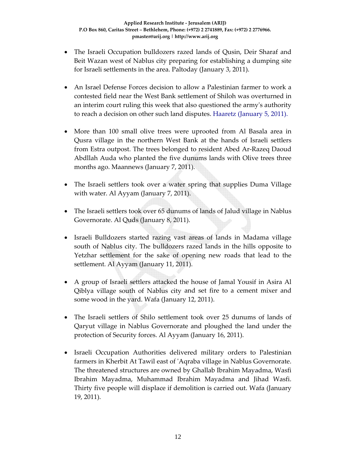- The Israeli Occupation bulldozers razed lands of Qusin, Deir Sharaf and Beit Wazan west of Nablus city preparing for establishing a dumping site for Israeli settlements in the area. Paltoday (January 3, 2011).
- An Israel Defense Forces decision to allow a Palestinian farmer to work a contested field near the West Bank settlement of Shiloh was overturned in an interim court ruling this week that also questioned the armyʹs authority to reach a decision on other such land disputes. Haaretz (January 5, 2011).
- More than 100 small olive trees were uprooted from Al Basala area in Qusra village in the northern West Bank at the hands of Israeli settlers from Estra outpost. The trees belonged to resident Abed Ar‐Razeq Daoud Abdllah Auda who planted the five dunums lands with Olive trees three months ago. Maannews (January 7, 2011).
- The Israeli settlers took over a water spring that supplies Duma Village with water. Al Ayyam (January 7, 2011).
- The Israeli settlers took over 65 dunums of lands of Jalud village in Nablus Governorate. Al Quds (January 8, 2011).
- Israeli Bulldozers started razing vast areas of lands in Madama village south of Nablus city. The bulldozers razed lands in the hills opposite to Yetzhar settlement for the sake of opening new roads that lead to the settlement. Al Ayyam (January 11, 2011).
- A group of Israeli settlers attacked the house of Jamal Yousif in Asira Al Qiblya village south of Nablus city and set fire to a cement mixer and some wood in the yard. Wafa (January 12, 2011).
- The Israeli settlers of Shilo settlement took over 25 dunums of lands of Qaryut village in Nablus Governorate and ploughed the land under the protection of Security forces. Al Ayyam (January 16, 2011).
- Israeli Occupation Authorities delivered military orders to Palestinian farmers in Kherbit At Tawil east of ʹAqraba village in Nablus Governorate. The threatened structures are owned by Ghallab Ibrahim Mayadma, Wasfi Ibrahim Mayadma, Muhammad Ibrahim Mayadma and Jihad Wasfi. Thirty five people will displace if demolition is carried out. Wafa (January 19, 2011).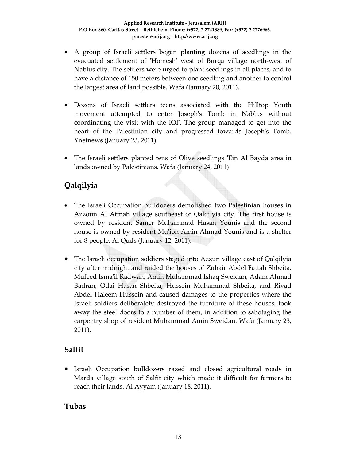- A group of Israeli settlers began planting dozens of seedlings in the evacuated settlement of 'Homesh' west of Burqa village north-west of Nablus city. The settlers were urged to plant seedlings in all places, and to have a distance of 150 meters between one seedling and another to control the largest area of land possible. Wafa (January 20, 2011).
- Dozens of Israeli settlers teens associated with the Hilltop Youth movement attempted to enter Josephʹs Tomb in Nablus without coordinating the visit with the IOF. The group managed to get into the heart of the Palestinian city and progressed towards Josephʹs Tomb. Ynetnews (January 23, 2011)
- The Israeli settlers planted tens of Olive seedlings 'Ein Al Bayda area in lands owned by Palestinians. Wafa (January 24, 2011)

# **Qalqilyia**

- The Israeli Occupation bulldozers demolished two Palestinian houses in Azzoun Al Atmah village southeast of Qalqilyia city. The first house is owned by resident Samer Muhammad Hasan Younis and the second house is owned by resident Muʹion Amin Ahmad Younis and is a shelter for 8 people. Al Quds (January 12, 2011).
- The Israeli occupation soldiers staged into Azzun village east of Qalqilyia city after midnight and raided the houses of Zuhair Abdel Fattah Shbeita, Mufeed Ismaʹil Radwan, Amin Muhammad Ishaq Sweidan, Adam Ahmad Badran, Odai Hasan Shbeita, Hussein Muhammad Shbeita, and Riyad Abdel Haleem Hussein and caused damages to the properties where the Israeli soldiers deliberately destroyed the furniture of these houses, took away the steel doors to a number of them, in addition to sabotaging the carpentry shop of resident Muhammad Amin Sweidan. Wafa (January 23, 2011).

## **Salfit**

• Israeli Occupation bulldozers razed and closed agricultural roads in Marda village south of Salfit city which made it difficult for farmers to reach their lands. Al Ayyam (January 18, 2011).

## **Tubas**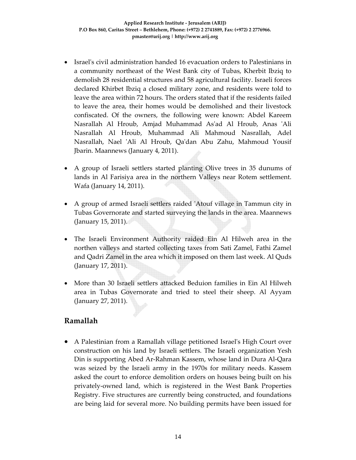- Israel's civil administration handed 16 evacuation orders to Palestinians in a community northeast of the West Bank city of Tubas, Kherbit Ibziq to demolish 28 residential structures and 58 agricultural facility. Israeli forces declared Khirbet Ibziq a closed military zone, and residents were told to leave the area within 72 hours. The orders stated that if the residents failed to leave the area, their homes would be demolished and their livestock confiscated. Of the owners, the following were known: Abdel Kareem Nasrallah Al Hroub, Amjad Muhammad Asʹad Al Hroub, Anas ʹAli Nasrallah Al Hroub, Muhammad Ali Mahmoud Nasrallah, Adel Nasrallah, Nael ʹAli Al Hroub, Qaʹdan Abu Zahu, Mahmoud Yousif Jbarin. Maannews (January 4, 2011).
- A group of Israeli settlers started planting Olive trees in 35 dunums of lands in Al Farisiya area in the northern Valleys near Rotem settlement. Wafa (January 14, 2011).
- A group of armed Israeli settlers raided 'Atouf village in Tammun city in Tubas Governorate and started surveying the lands in the area. Maannews (January 15, 2011).
- The Israeli Environment Authority raided Ein Al Hilweh area in the northen valleys and started collecting taxes from Sati Zamel, Fathi Zamel and Qadri Zamel in the area which it imposed on them last week. Al Quds (January 17, 2011).
- More than 30 Israeli settlers attacked Beduion families in Ein Al Hilweh area in Tubas Governorate and tried to steel their sheep. Al Ayyam (January 27, 2011).

## **Ramallah**

• A Palestinian from a Ramallah village petitioned Israelʹs High Court over construction on his land by Israeli settlers. The Israeli organization Yesh Din is supporting Abed Ar‐Rahman Kassem, whose land in Dura Al‐Qara was seized by the Israeli army in the 1970s for military needs. Kassem asked the court to enforce demolition orders on houses being built on his privately‐owned land, which is registered in the West Bank Properties Registry. Five structures are currently being constructed, and foundations are being laid for several more. No building permits have been issued for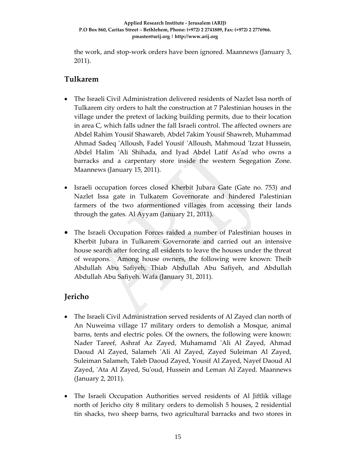the work, and stop‐work orders have been ignored. Maannews (January 3, 2011).

## **Tulkarem**

- The Israeli Civil Administration delivered residents of Nazlet Issa north of Tulkarem city orders to halt the construction at 7 Palestinian houses in the village under the pretext of lacking building permits, due to their location in area C, which falls udner the fall Israeli control. The affected owners are Abdel Rahim Yousif Shawareb, Abdel 7akim Yousif Shawreb, Muhammad Ahmad Sadeq 'Alloush, Fadel Yousif 'Alloush, Mahmoud 'Izzat Hussein, Abdel Halim ʹAli Shihada, and Iyad Abdel Latif Asʹad who owns a barracks and a carpentary store inside the western Segegation Zone. Maannews (January 15, 2011).
- Israeli occupation forces closed Kherbit Jubara Gate (Gate no. 753) and Nazlet Issa gate in Tulkarem Governorate and hindered Palestinian farmers of the two aformentioned villages from accessing their lands through the gates. Al Ayyam (January 21, 2011).
- The Israeli Occupation Forces raided a number of Palestinian houses in Kherbit Jubara in Tulkarem Governorate and carried out an intensive house search after forcing all esidents to leave the houses under the threat of weapons. Among house owners, the following were known: Theib Abdullah Abu Safiyeh, Thiab Abdullah Abu Safiyeh, and Abdullah Abdullah Abu Safiyeh. Wafa (January 31, 2011).

## **Jericho**

- The Israeli Civil Administration served residents of Al Zayed clan north of An Nuweima village 17 military orders to demolish a Mosque, animal barns, tents and electric poles. Of the owners, the following were known: Nader Tareef, Ashraf Az Zayed, Muhamamd ʹAli Al Zayed, Ahmad Daoud Al Zayed, Salameh ʹAli Al Zayed, Zayed Suleiman Al Zayed, Suleiman Salameh, Taleb Daoud Zayed, Yousif Al Zayed, Nayef Daoud Al Zayed, 'Ata Al Zayed, Su'oud, Hussein and Leman Al Zayed. Maannews (January 2, 2011).
- The Israeli Occupation Authorities served residents of Al Jiftlik village north of Jericho city 8 military orders to demolish 5 houses, 2 residential tin shacks, two sheep barns, two agricultural barracks and two stores in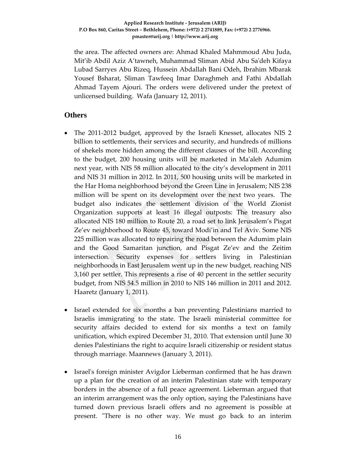the area. The affected owners are: Ahmad Khaled Mahmmoud Abu Juda, Mit'ib Abdil Aziz A'tawneh, Muhammad Sliman Abid Abu Saʹdeh Kifaya Lubad Sarryes Abu Rizeq, Hussein Abdallah Bani Odeh, Ibrahim Mbarak Yousef Bsharat, Sliman Tawfeeq Imar Daraghmeh and Fathi Abdallah Ahmad Tayem Ajouri. The orders were delivered under the pretext of unlicensed building. Wafa (January 12, 2011).

#### **Others**

- The 2011-2012 budget, approved by the Israeli Knesset, allocates NIS 2 billion to settlements, their services and security, and hundreds of millions of shekels more hidden among the different clauses of the bill. According to the budget, 200 housing units will be marketed in Maʹaleh Adumim next year, with NIS 58 million allocated to the city's development in 2011 and NIS 31 million in 2012. In 2011, 500 housing units will be marketed in the Har Homa neighborhood beyond the Green Line in Jerusalem; NIS 238 million will be spent on its development over the next two years. The budget also indicates the settlement division of the World Zionist Organization supports at least 16 illegal outposts: The treasury also allocated NIS 180 million to Route 20, a road set to link Jerusalem's Pisgat Ze'ev neighborhood to Route 45, toward Modi'in and Tel Aviv. Some NIS 225 million was allocated to repairing the road between the Adumim plain and the Good Samaritan junction, and Pisgat Ze'ev and the Zeitim intersection. Security expenses for settlers living in Palestinian neighborhoods in East Jerusalem went up in the new budget, reaching NIS 3,160 per settler. This represents a rise of 40 percent in the settler security budget, from NIS 54.5 million in 2010 to NIS 146 million in 2011 and 2012. Haaretz (January 1, 2011).
- Israel extended for six months a ban preventing Palestinians married to Israelis immigrating to the state. The Israeli ministerial committee for security affairs decided to extend for six months a text on family unification, which expired December 31, 2010. That extension until June 30 denies Palestinians the right to acquire Israeli citizenship or resident status through marriage. Maannews (January 3, 2011).
- Israel's foreign minister Avigdor Lieberman confirmed that he has drawn up a plan for the creation of an interim Palestinian state with temporary borders in the absence of a full peace agreement. Lieberman argued that an interim arrangement was the only option, saying the Palestinians have turned down previous Israeli offers and no agreement is possible at present. "There is no other way. We must go back to an interim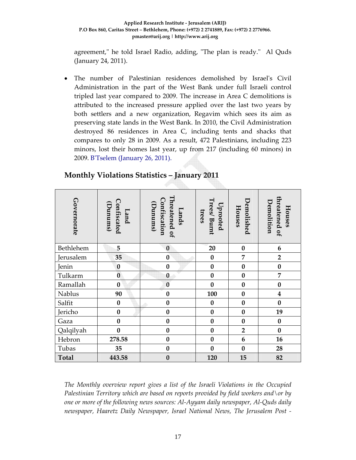#### **Applied Research Institute ‐ Jerusalem (ARIJ) P.O Box 860, Caritas Street – Bethlehem, Phone: (+972) 2 2741889, Fax: (+972) 2 2776966. pmaster@arij.org | http://www.arij.org**

agreement," he told Israel Radio, adding, "The plan is ready." Al Quds (January 24, 2011).

• The number of Palestinian residences demolished by Israel's Civil Administration in the part of the West Bank under full Israeli control tripled last year compared to 2009. The increase in Area C demolitions is attributed to the increased pressure applied over the last two years by both settlers and a new organization, Regavim which sees its aim as preserving state lands in the West Bank. In 2010, the Civil Administration destroyed 86 residences in Area C, including tents and shacks that compares to only 28 in 2009. As a result, 472 Palestinians, including 223 minors, lost their homes last year, up from 217 (including 60 minors) in 2009. BʹTselem (January 26, 2011).

| Governorate                                                                                                                                                                                                                                                                                                                                         | Confiscated<br>Dunums)<br>Land | Threatened of<br>Confiscation<br>(bunums)<br>Lands | Trees/Burnt<br>Uprooted<br>trees | Demolished<br>Houses | threatened of<br>Demolition<br>Houses |
|-----------------------------------------------------------------------------------------------------------------------------------------------------------------------------------------------------------------------------------------------------------------------------------------------------------------------------------------------------|--------------------------------|----------------------------------------------------|----------------------------------|----------------------|---------------------------------------|
| Bethlehem                                                                                                                                                                                                                                                                                                                                           | 5                              | $\bf{0}$                                           | 20                               | $\bf{0}$             | $\boldsymbol{6}$                      |
| Jerusalem                                                                                                                                                                                                                                                                                                                                           | 35                             | $\boldsymbol{0}$                                   | $\bf{0}$                         | 7                    | $\overline{2}$                        |
| Jenin                                                                                                                                                                                                                                                                                                                                               | $\bf{0}$                       | $\bf{0}$                                           | $\bf{0}$                         | $\bf{0}$             | $\pmb{0}$                             |
| Tulkarm                                                                                                                                                                                                                                                                                                                                             | $\bf{0}$                       | $\bf{0}$                                           | $\bf{0}$                         | $\bf{0}$             | $\overline{7}$                        |
| Ramallah                                                                                                                                                                                                                                                                                                                                            | $\bf{0}$                       | $\bf{0}$                                           | $\bf{0}$                         | $\bf{0}$             | $\bf{0}$                              |
| Nablus                                                                                                                                                                                                                                                                                                                                              | 90                             | $\bf{0}$                                           | 100                              | $\bf{0}$             | $\overline{\mathbf{4}}$               |
| Salfit                                                                                                                                                                                                                                                                                                                                              | $\bf{0}$                       | $\bf{0}$                                           | $\bf{0}$                         | $\bf{0}$             | $\bf{0}$                              |
| Jericho                                                                                                                                                                                                                                                                                                                                             | $\bf{0}$                       | $\bf{0}$                                           | $\bf{0}$                         | $\bf{0}$             | 19                                    |
| Gaza                                                                                                                                                                                                                                                                                                                                                | $\bf{0}$                       | $\bf{0}$                                           | $\bf{0}$                         | $\bf{0}$             | $\bf{0}$                              |
| Qalqilyah                                                                                                                                                                                                                                                                                                                                           | $\bf{0}$                       | $\bf{0}$                                           | $\bf{0}$                         | $\overline{2}$       | $\bf{0}$                              |
| Hebron                                                                                                                                                                                                                                                                                                                                              | 278.58                         | $\bf{0}$                                           | $\bf{0}$                         | 6                    | 16                                    |
| Tubas                                                                                                                                                                                                                                                                                                                                               | 35                             | $\bf{0}$                                           | $\bf{0}$                         | $\bf{0}$             | 28                                    |
| <b>Total</b>                                                                                                                                                                                                                                                                                                                                        | 443.58                         | $\bf{0}$                                           | 120                              | 15                   | 82                                    |
| The Monthly overview report gives a list of the Israeli Violations in the Occupied<br>Palestinian Territory which are based on reports provided by field workers and \or by<br>one or more of the following news sources: Al-Ayyam daily newspaper, Al-Quds daily<br>newspaper, Haaretz Daily Newspaper, Israel National News, The Jerusalem Post - |                                |                                                    |                                  |                      |                                       |

## **Monthly Violations Statistics – January 2011**